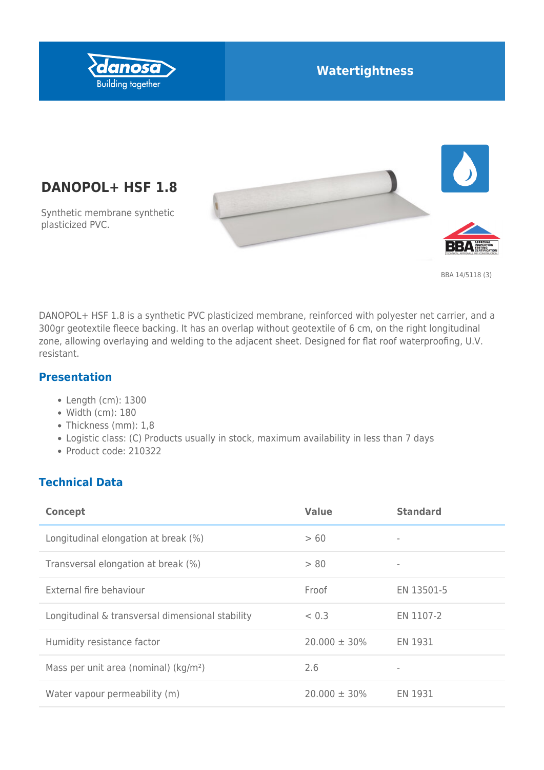

## **Watertightness**

# **DANOPOL+ HSF 1.8**

Synthetic membrane synthetic plasticized PVC.





DANOPOL+ HSF 1.8 is a synthetic PVC plasticized membrane, reinforced with polyester net carrier, and a 300gr geotextile fleece backing. It has an overlap without geotextile of 6 cm, on the right longitudinal zone, allowing overlaying and welding to the adjacent sheet. Designed for flat roof waterproofing, U.V. resistant.

#### **Presentation**

- Length (cm): 1300
- Width (cm): 180
- Thickness (mm): 1,8
- Logistic class: (C) Products usually in stock, maximum availability in less than 7 days
- Product code: 210322

#### **Technical Data**

| <b>Concept</b>                                    | <b>Value</b>      | <b>Standard</b> |
|---------------------------------------------------|-------------------|-----------------|
| Longitudinal elongation at break (%)              | >60               |                 |
| Transversal elongation at break (%)               | > 80              | ۰               |
| External fire behaviour                           | Froof             | EN 13501-5      |
| Longitudinal & transversal dimensional stability  | < 0.3             | EN 1107-2       |
| Humidity resistance factor                        | $20,000 \pm 30\%$ | EN 1931         |
| Mass per unit area (nominal) (kg/m <sup>2</sup> ) | 2.6               |                 |
| Water vapour permeability (m)                     | $20.000 \pm 30\%$ | EN 1931         |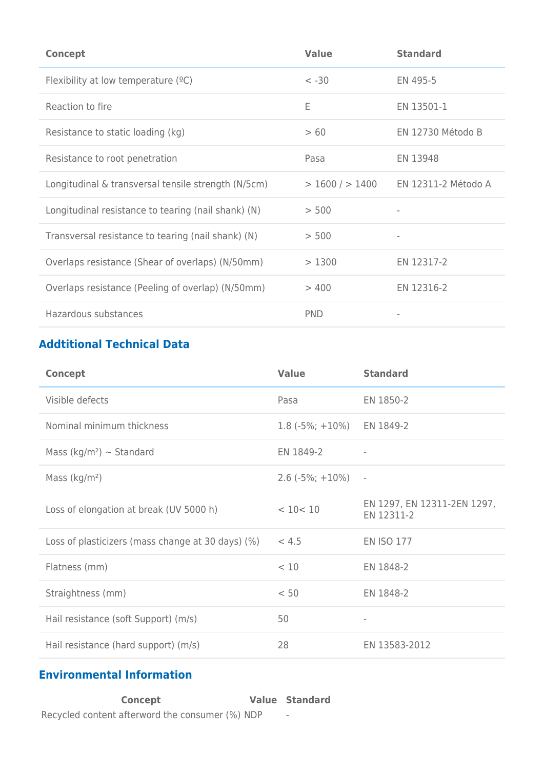| <b>Concept</b>                                      | <b>Value</b>     | <b>Standard</b>     |
|-----------------------------------------------------|------------------|---------------------|
| Flexibility at low temperature $(°C)$               | $< -30$          | EN 495-5            |
| Reaction to fire                                    | E                | EN 13501-1          |
| Resistance to static loading (kg)                   | >60              | EN 12730 Método B   |
| Resistance to root penetration                      | Pasa             | EN 13948            |
| Longitudinal & transversal tensile strength (N/5cm) | $>1600/$ $>1400$ | EN 12311-2 Método A |
| Longitudinal resistance to tearing (nail shank) (N) | > 500            |                     |
| Transversal resistance to tearing (nail shank) (N)  | > 500            |                     |
| Overlaps resistance (Shear of overlaps) (N/50mm)    | >1300            | EN 12317-2          |
| Overlaps resistance (Peeling of overlap) (N/50mm)   | >400             | EN 12316-2          |
| Hazardous substances                                | <b>PND</b>       |                     |

# **Addtitional Technical Data**

| <b>Concept</b>                                    | <b>Value</b>       | <b>Standard</b>                           |
|---------------------------------------------------|--------------------|-------------------------------------------|
| Visible defects                                   | Pasa               | EN 1850-2                                 |
| Nominal minimum thickness                         | $1.8(-5\%; +10\%)$ | EN 1849-2                                 |
| Mass (kg/m <sup>2</sup> ) $\sim$ Standard         | EN 1849-2          | $\overline{\phantom{a}}$                  |
| Mass $(kg/m2)$                                    | $2.6(-5\%; +10\%)$ | $\overline{\phantom{a}}$                  |
| Loss of elongation at break (UV 5000 h)           | < 10 < 10          | EN 1297, EN 12311-2EN 1297,<br>EN 12311-2 |
| Loss of plasticizers (mass change at 30 days) (%) | < 4.5              | <b>EN ISO 177</b>                         |
| Flatness (mm)                                     | < 10               | EN 1848-2                                 |
| Straightness (mm)                                 | < 50               | EN 1848-2                                 |
| Hail resistance (soft Support) (m/s)              | 50                 |                                           |
| Hail resistance (hard support) (m/s)              | 28                 | EN 13583-2012                             |

#### **Environmental Information**

**Concept Value Standard** Recycled content afterword the consumer (%) NDP -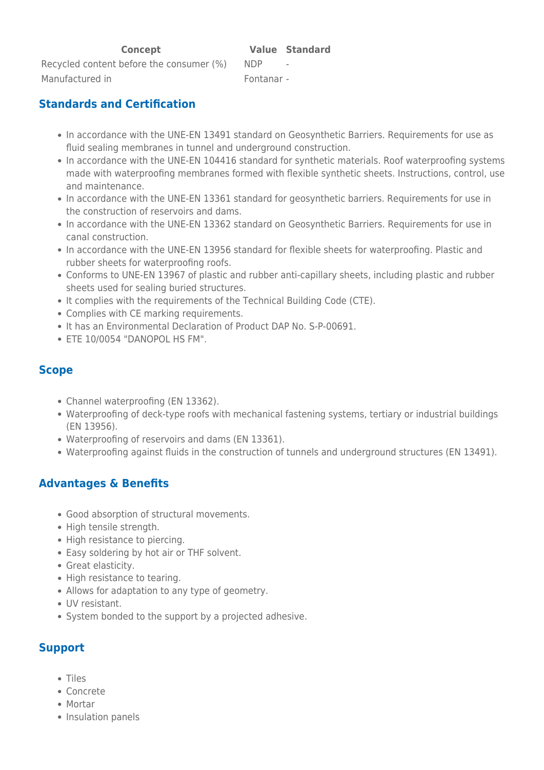Recycled content before the consumer (%) NDP Manufactured in Fontanar -

#### **Standards and Certification**

- In accordance with the UNE-EN 13491 standard on Geosynthetic Barriers. Requirements for use as fluid sealing membranes in tunnel and underground construction.
- In accordance with the UNE-EN 104416 standard for synthetic materials. Roof waterproofing systems made with waterproofing membranes formed with flexible synthetic sheets. Instructions, control, use and maintenance.
- In accordance with the UNE-EN 13361 standard for geosynthetic barriers. Requirements for use in the construction of reservoirs and dams.
- In accordance with the UNE-EN 13362 standard on Geosynthetic Barriers. Requirements for use in canal construction.
- In accordance with the UNE-EN 13956 standard for flexible sheets for waterproofing. Plastic and rubber sheets for waterproofing roofs.
- Conforms to UNE-EN 13967 of plastic and rubber anti-capillary sheets, including plastic and rubber sheets used for sealing buried structures.
- It complies with the requirements of the Technical Building Code (CTE).
- Complies with CE marking requirements.
- It has an Environmental Declaration of Product DAP No. S-P-00691.
- ETE 10/0054 "DANOPOL HS FM".

#### **Scope**

- Channel waterproofing (EN 13362).
- Waterproofing of deck-type roofs with mechanical fastening systems, tertiary or industrial buildings (EN 13956).
- Waterproofing of reservoirs and dams (EN 13361).
- Waterproofing against fluids in the construction of tunnels and underground structures (EN 13491).

### **Advantages & Benefits**

- Good absorption of structural movements.
- High tensile strength.
- High resistance to piercing.
- Easy soldering by hot air or THF solvent.
- Great elasticity.
- High resistance to tearing.
- Allows for adaptation to any type of geometry.
- UV resistant.
- System bonded to the support by a projected adhesive.

#### **Support**

- Tiles
- Concrete
- Mortar
- Insulation panels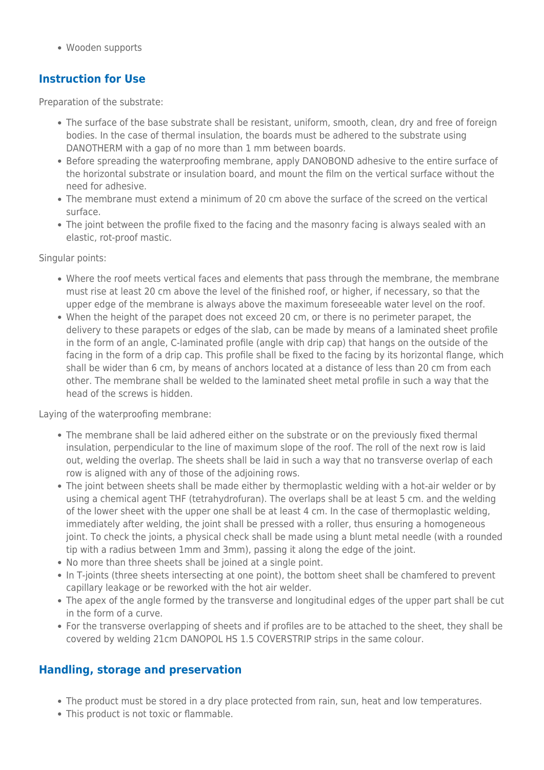Wooden supports

#### **Instruction for Use**

Preparation of the substrate:

- The surface of the base substrate shall be resistant, uniform, smooth, clean, dry and free of foreign bodies. In the case of thermal insulation, the boards must be adhered to the substrate using DANOTHERM with a gap of no more than 1 mm between boards.
- Before spreading the waterproofing membrane, apply DANOBOND adhesive to the entire surface of the horizontal substrate or insulation board, and mount the film on the vertical surface without the need for adhesive.
- The membrane must extend a minimum of 20 cm above the surface of the screed on the vertical surface.
- The joint between the profile fixed to the facing and the masonry facing is always sealed with an elastic, rot-proof mastic.

Singular points:

- Where the roof meets vertical faces and elements that pass through the membrane, the membrane must rise at least 20 cm above the level of the finished roof, or higher, if necessary, so that the upper edge of the membrane is always above the maximum foreseeable water level on the roof.
- When the height of the parapet does not exceed 20 cm, or there is no perimeter parapet, the delivery to these parapets or edges of the slab, can be made by means of a laminated sheet profile in the form of an angle, C-laminated profile (angle with drip cap) that hangs on the outside of the facing in the form of a drip cap. This profile shall be fixed to the facing by its horizontal flange, which shall be wider than 6 cm, by means of anchors located at a distance of less than 20 cm from each other. The membrane shall be welded to the laminated sheet metal profile in such a way that the head of the screws is hidden.

Laying of the waterproofing membrane:

- The membrane shall be laid adhered either on the substrate or on the previously fixed thermal insulation, perpendicular to the line of maximum slope of the roof. The roll of the next row is laid out, welding the overlap. The sheets shall be laid in such a way that no transverse overlap of each row is aligned with any of those of the adjoining rows.
- The joint between sheets shall be made either by thermoplastic welding with a hot-air welder or by using a chemical agent THF (tetrahydrofuran). The overlaps shall be at least 5 cm. and the welding of the lower sheet with the upper one shall be at least 4 cm. In the case of thermoplastic welding, immediately after welding, the joint shall be pressed with a roller, thus ensuring a homogeneous joint. To check the joints, a physical check shall be made using a blunt metal needle (with a rounded tip with a radius between 1mm and 3mm), passing it along the edge of the joint.
- No more than three sheets shall be joined at a single point.
- In T-joints (three sheets intersecting at one point), the bottom sheet shall be chamfered to prevent capillary leakage or be reworked with the hot air welder.
- The apex of the angle formed by the transverse and longitudinal edges of the upper part shall be cut in the form of a curve.
- For the transverse overlapping of sheets and if profiles are to be attached to the sheet, they shall be covered by welding 21cm DANOPOL HS 1.5 COVERSTRIP strips in the same colour.

#### **Handling, storage and preservation**

- The product must be stored in a dry place protected from rain, sun, heat and low temperatures.
- This product is not toxic or flammable.